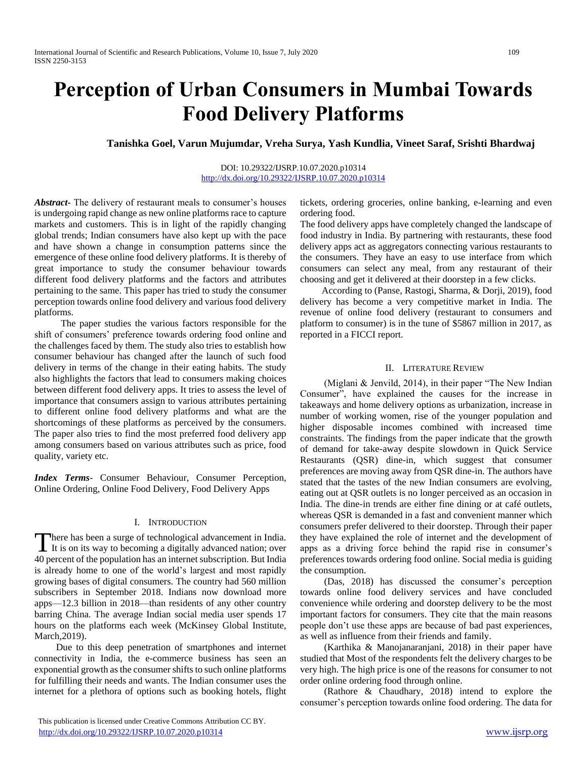# **Perception of Urban Consumers in Mumbai Towards Food Delivery Platforms**

**Tanishka Goel, Varun Mujumdar, Vreha Surya, Yash Kundlia, Vineet Saraf, Srishti Bhardwaj**

### DOI: 10.29322/IJSRP.10.07.2020.p10314 <http://dx.doi.org/10.29322/IJSRP.10.07.2020.p10314>

*Abstract***-** The delivery of restaurant meals to consumer's houses is undergoing rapid change as new online platforms race to capture markets and customers. This is in light of the rapidly changing global trends; Indian consumers have also kept up with the pace and have shown a change in consumption patterns since the emergence of these online food delivery platforms. It is thereby of great importance to study the consumer behaviour towards different food delivery platforms and the factors and attributes pertaining to the same. This paper has tried to study the consumer perception towards online food delivery and various food delivery platforms.

 The paper studies the various factors responsible for the shift of consumers' preference towards ordering food online and the challenges faced by them. The study also tries to establish how consumer behaviour has changed after the launch of such food delivery in terms of the change in their eating habits. The study also highlights the factors that lead to consumers making choices between different food delivery apps. It tries to assess the level of importance that consumers assign to various attributes pertaining to different online food delivery platforms and what are the shortcomings of these platforms as perceived by the consumers. The paper also tries to find the most preferred food delivery app among consumers based on various attributes such as price, food quality, variety etc.

*Index Terms*- Consumer Behaviour, Consumer Perception, Online Ordering, Online Food Delivery, Food Delivery Apps

## I. INTRODUCTION

here has been a surge of technological advancement in India. There has been a surge of technological advancement in India.<br>It is on its way to becoming a digitally advanced nation; over 40 percent of the population has an internet subscription. But India is already home to one of the world's largest and most rapidly growing bases of digital consumers. The country had 560 million subscribers in September 2018. Indians now download more apps—12.3 billion in 2018—than residents of any other country barring China. The average Indian social media user spends 17 hours on the platforms each week (McKinsey Global Institute, March,2019).

 Due to this deep penetration of smartphones and internet connectivity in India, the e-commerce business has seen an exponential growth as the consumer shifts to such online platforms for fulfilling their needs and wants. The Indian consumer uses the internet for a plethora of options such as booking hotels, flight tickets, ordering groceries, online banking, e-learning and even ordering food.

The food delivery apps have completely changed the landscape of food industry in India. By partnering with restaurants, these food delivery apps act as aggregators connecting various restaurants to the consumers. They have an easy to use interface from which consumers can select any meal, from any restaurant of their choosing and get it delivered at their doorstep in a few clicks.

 According to (Panse, Rastogi, Sharma, & Dorji, 2019), food delivery has become a very competitive market in India. The revenue of online food delivery (restaurant to consumers and platform to consumer) is in the tune of \$5867 million in 2017, as reported in a FICCI report.

## II. LITERATURE REVIEW

 (Miglani & Jenvild, 2014), in their paper "The New Indian Consumer", have explained the causes for the increase in takeaways and home delivery options as urbanization, increase in number of working women, rise of the younger population and higher disposable incomes combined with increased time constraints. The findings from the paper indicate that the growth of demand for take-away despite slowdown in Quick Service Restaurants (QSR) dine-in, which suggest that consumer preferences are moving away from QSR dine-in. The authors have stated that the tastes of the new Indian consumers are evolving, eating out at QSR outlets is no longer perceived as an occasion in India. The dine-in trends are either fine dining or at café outlets, whereas QSR is demanded in a fast and convenient manner which consumers prefer delivered to their doorstep. Through their paper they have explained the role of internet and the development of apps as a driving force behind the rapid rise in consumer's preferences towards ordering food online. Social media is guiding the consumption.

 (Das, 2018) has discussed the consumer's perception towards online food delivery services and have concluded convenience while ordering and doorstep delivery to be the most important factors for consumers. They cite that the main reasons people don't use these apps are because of bad past experiences, as well as influence from their friends and family.

 (Karthika & Manojanaranjani, 2018) in their paper have studied that Most of the respondents felt the delivery charges to be very high. The high price is one of the reasons for consumer to not order online ordering food through online.

 (Rathore & Chaudhary, 2018) intend to explore the consumer's perception towards online food ordering. The data for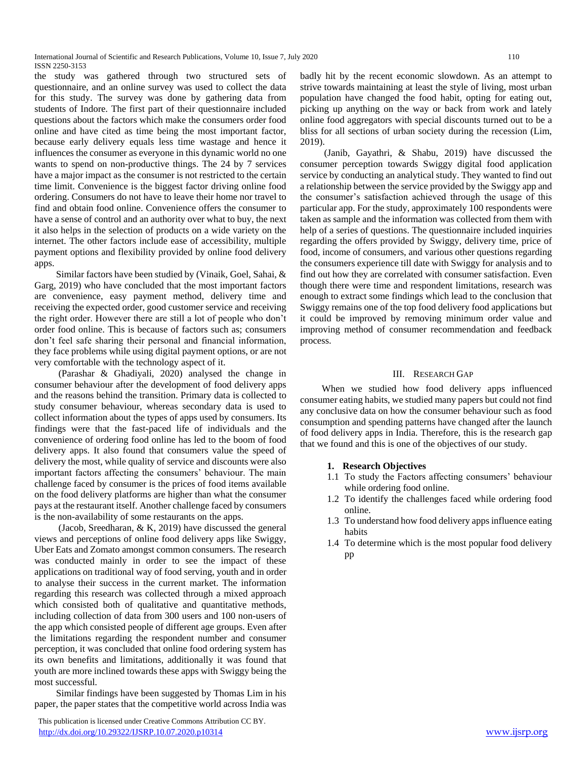International Journal of Scientific and Research Publications, Volume 10, Issue 7, July 2020 110 ISSN 2250-3153

the study was gathered through two structured sets of questionnaire, and an online survey was used to collect the data for this study. The survey was done by gathering data from students of Indore. The first part of their questionnaire included questions about the factors which make the consumers order food online and have cited as time being the most important factor, because early delivery equals less time wastage and hence it influences the consumer as everyone in this dynamic world no one wants to spend on non-productive things. The 24 by 7 services have a major impact as the consumer is not restricted to the certain time limit. Convenience is the biggest factor driving online food ordering. Consumers do not have to leave their home nor travel to find and obtain food online. Convenience offers the consumer to have a sense of control and an authority over what to buy, the next it also helps in the selection of products on a wide variety on the internet. The other factors include ease of accessibility, multiple payment options and flexibility provided by online food delivery apps.

 Similar factors have been studied by (Vinaik, Goel, Sahai, & Garg, 2019) who have concluded that the most important factors are convenience, easy payment method, delivery time and receiving the expected order, good customer service and receiving the right order. However there are still a lot of people who don't order food online. This is because of factors such as; consumers don't feel safe sharing their personal and financial information, they face problems while using digital payment options, or are not very comfortable with the technology aspect of it.

 (Parashar & Ghadiyali, 2020) analysed the change in consumer behaviour after the development of food delivery apps and the reasons behind the transition. Primary data is collected to study consumer behaviour, whereas secondary data is used to collect information about the types of apps used by consumers. Its findings were that the fast-paced life of individuals and the convenience of ordering food online has led to the boom of food delivery apps. It also found that consumers value the speed of delivery the most, while quality of service and discounts were also important factors affecting the consumers' behaviour. The main challenge faced by consumer is the prices of food items available on the food delivery platforms are higher than what the consumer pays at the restaurant itself. Another challenge faced by consumers is the non-availability of some restaurants on the apps.

 (Jacob, Sreedharan, & K, 2019) have discussed the general views and perceptions of online food delivery apps like Swiggy, Uber Eats and Zomato amongst common consumers. The research was conducted mainly in order to see the impact of these applications on traditional way of food serving, youth and in order to analyse their success in the current market. The information regarding this research was collected through a mixed approach which consisted both of qualitative and quantitative methods, including collection of data from 300 users and 100 non-users of the app which consisted people of different age groups. Even after the limitations regarding the respondent number and consumer perception, it was concluded that online food ordering system has its own benefits and limitations, additionally it was found that youth are more inclined towards these apps with Swiggy being the most successful.

 Similar findings have been suggested by Thomas Lim in his paper, the paper states that the competitive world across India was

 This publication is licensed under Creative Commons Attribution CC BY. <http://dx.doi.org/10.29322/IJSRP.10.07.2020.p10314> [www.ijsrp.org](http://ijsrp.org/)

badly hit by the recent economic slowdown. As an attempt to strive towards maintaining at least the style of living, most urban population have changed the food habit, opting for eating out, picking up anything on the way or back from work and lately online food aggregators with special discounts turned out to be a bliss for all sections of urban society during the recession (Lim, 2019).

 (Janib, Gayathri, & Shabu, 2019) have discussed the consumer perception towards Swiggy digital food application service by conducting an analytical study. They wanted to find out a relationship between the service provided by the Swiggy app and the consumer's satisfaction achieved through the usage of this particular app. For the study, approximately 100 respondents were taken as sample and the information was collected from them with help of a series of questions. The questionnaire included inquiries regarding the offers provided by Swiggy, delivery time, price of food, income of consumers, and various other questions regarding the consumers experience till date with Swiggy for analysis and to find out how they are correlated with consumer satisfaction. Even though there were time and respondent limitations, research was enough to extract some findings which lead to the conclusion that Swiggy remains one of the top food delivery food applications but it could be improved by removing minimum order value and improving method of consumer recommendation and feedback process.

## III. RESEARCH GAP

 When we studied how food delivery apps influenced consumer eating habits, we studied many papers but could not find any conclusive data on how the consumer behaviour such as food consumption and spending patterns have changed after the launch of food delivery apps in India. Therefore, this is the research gap that we found and this is one of the objectives of our study.

#### **1. Research Objectives**

- 1.1 To study the Factors affecting consumers' behaviour while ordering food online.
- 1.2 To identify the challenges faced while ordering food online.
- 1.3 To understand how food delivery apps influence eating habits
- 1.4 To determine which is the most popular food delivery pp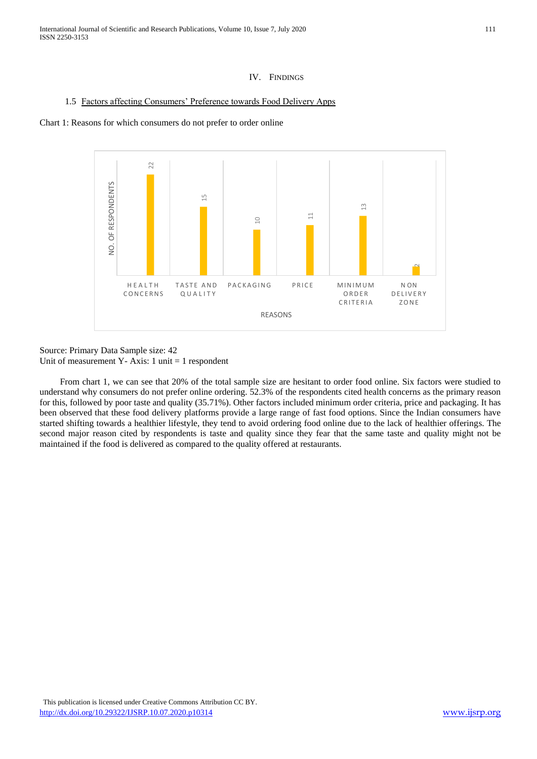International Journal of Scientific and Research Publications, Volume 10, Issue 7, July 2020 111 ISSN 2250-3153

## IV. FINDINGS

## 1.5 Factors affecting Consumers' Preference towards Food Delivery Apps

## Chart 1: Reasons for which consumers do not prefer to order online



Source: Primary Data Sample size: 42 Unit of measurement Y- Axis: 1 unit  $= 1$  respondent

 From chart 1, we can see that 20% of the total sample size are hesitant to order food online. Six factors were studied to understand why consumers do not prefer online ordering. 52.3% of the respondents cited health concerns as the primary reason for this, followed by poor taste and quality (35.71%). Other factors included minimum order criteria, price and packaging. It has been observed that these food delivery platforms provide a large range of fast food options. Since the Indian consumers have started shifting towards a healthier lifestyle, they tend to avoid ordering food online due to the lack of healthier offerings. The second major reason cited by respondents is taste and quality since they fear that the same taste and quality might not be maintained if the food is delivered as compared to the quality offered at restaurants.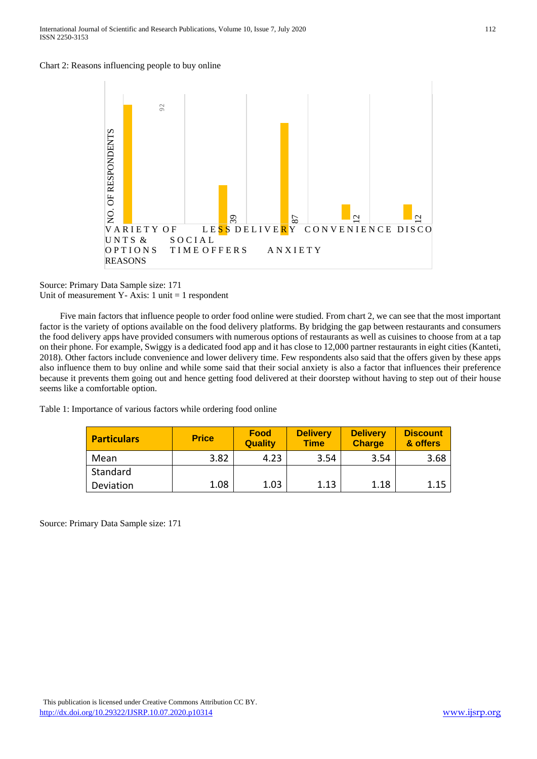



Source: Primary Data Sample size: 171 Unit of measurement Y- Axis: 1 unit  $= 1$  respondent

 Five main factors that influence people to order food online were studied. From chart 2, we can see that the most important factor is the variety of options available on the food delivery platforms. By bridging the gap between restaurants and consumers the food delivery apps have provided consumers with numerous options of restaurants as well as cuisines to choose from at a tap on their phone. For example, Swiggy is a dedicated food app and it has close to 12,000 partner restaurants in eight cities (Kanteti, 2018). Other factors include convenience and lower delivery time. Few respondents also said that the offers given by these apps also influence them to buy online and while some said that their social anxiety is also a factor that influences their preference because it prevents them going out and hence getting food delivered at their doorstep without having to step out of their house seems like a comfortable option.

Table 1: Importance of various factors while ordering food online

| <b>Particulars</b> | <b>Price</b> | <b>Food</b><br><b>Quality</b> | <b>Delivery</b><br><b>Time</b> | <b>Delivery</b><br><b>Charge</b> | <b>Discount</b><br>& offers |
|--------------------|--------------|-------------------------------|--------------------------------|----------------------------------|-----------------------------|
| Mean               | 3.82         | 4.23                          | 3.54                           | 3.54                             | 3.68                        |
| Standard           |              |                               |                                |                                  |                             |
| Deviation          | 1.08         | 1.03                          | 1.13                           | 1.18                             | 1.15                        |

Source: Primary Data Sample size: 171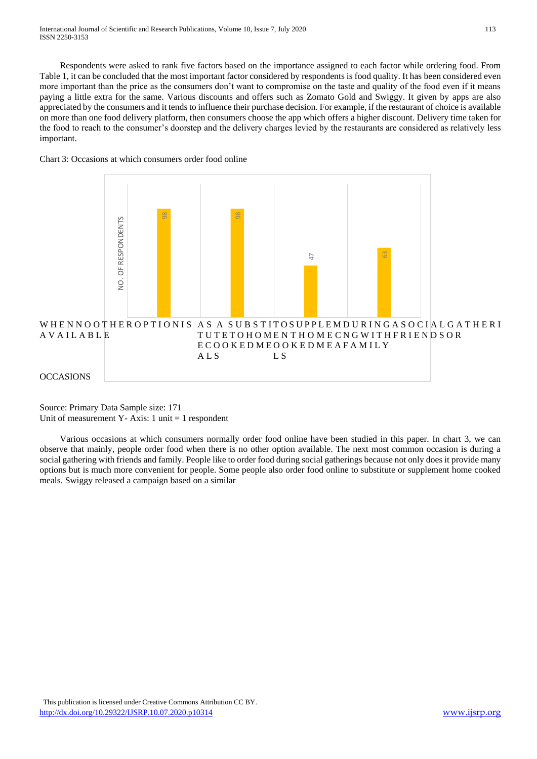Respondents were asked to rank five factors based on the importance assigned to each factor while ordering food. From Table 1, it can be concluded that the most important factor considered by respondents is food quality. It has been considered even more important than the price as the consumers don't want to compromise on the taste and quality of the food even if it means paying a little extra for the same. Various discounts and offers such as Zomato Gold and Swiggy. It given by apps are also appreciated by the consumers and it tends to influence their purchase decision. For example, if the restaurant of choice is available on more than one food delivery platform, then consumers choose the app which offers a higher discount. Delivery time taken for the food to reach to the consumer's doorstep and the delivery charges levied by the restaurants are considered as relatively less important.





Source: Primary Data Sample size: 171 Unit of measurement Y- Axis:  $1 \text{ unit} = 1 \text{ responent}$ 

 Various occasions at which consumers normally order food online have been studied in this paper. In chart 3, we can observe that mainly, people order food when there is no other option available. The next most common occasion is during a social gathering with friends and family. People like to order food during social gatherings because not only does it provide many options but is much more convenient for people. Some people also order food online to substitute or supplement home cooked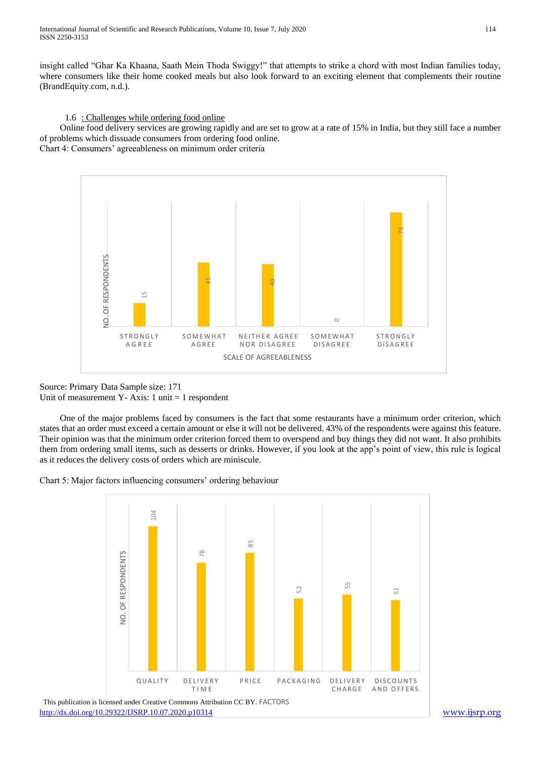insight called "Ghar Ka Khaana, Saath Mein Thoda Swiggy!" that attempts to strike a chord with most Indian families today, where consumers like their home cooked meals but also look forward to an exciting element that complements their routine (BrandEquity.com, n.d.).

1.6 : Challenges while ordering food online

 Online food delivery services are growing rapidly and are set to grow at a rate of 15% in India, but they still face a number of problems which dissuade consumers from ordering food online.

Chart 4: Consumers' agreeableness on minimum order criteria



Source: Primary Data Sample size: 171 Unit of measurement Y- Axis: 1 unit  $= 1$  respondent

 One of the major problems faced by consumers is the fact that some restaurants have a minimum order criterion, which states that an order must exceed a certain amount or else it will not be delivered. 43% of the respondents were against this feature. Their opinion was that the minimum order criterion forced them to overspend and buy things they did not want. It also prohibits them from ordering small items, such as desserts or drinks. However, if you look at the app's point of view, this rule is logical as it reduces the delivery costs of orders which are miniscule.

Chart 5: Major factors influencing consumers' ordering behaviour

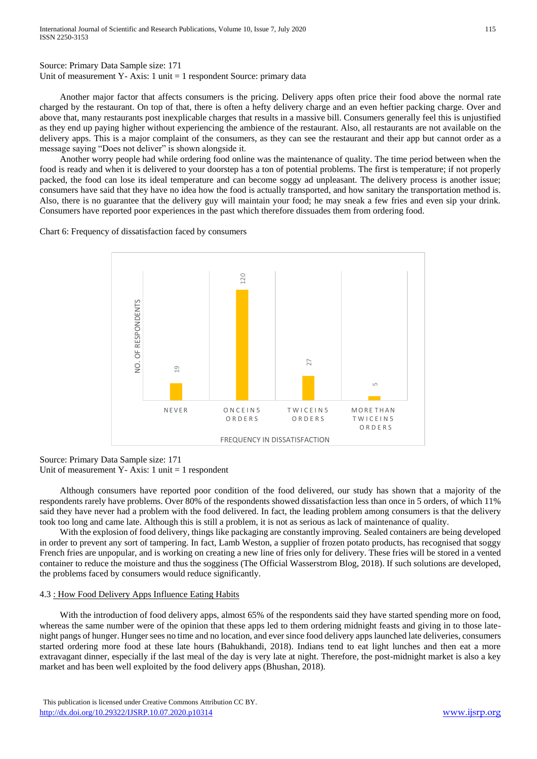Source: Primary Data Sample size: 171 Unit of measurement Y- Axis: 1 unit  $= 1$  respondent Source: primary data

 Another major factor that affects consumers is the pricing. Delivery apps often price their food above the normal rate charged by the restaurant. On top of that, there is often a hefty delivery charge and an even heftier packing charge. Over and above that, many restaurants post inexplicable charges that results in a massive bill. Consumers generally feel this is unjustified as they end up paying higher without experiencing the ambience of the restaurant. Also, all restaurants are not available on the delivery apps. This is a major complaint of the consumers, as they can see the restaurant and their app but cannot order as a message saying "Does not deliver" is shown alongside it.

 Another worry people had while ordering food online was the maintenance of quality. The time period between when the food is ready and when it is delivered to your doorstep has a ton of potential problems. The first is temperature; if not properly packed, the food can lose its ideal temperature and can become soggy ad unpleasant. The delivery process is another issue; consumers have said that they have no idea how the food is actually transported, and how sanitary the transportation method is. Also, there is no guarantee that the delivery guy will maintain your food; he may sneak a few fries and even sip your drink. Consumers have reported poor experiences in the past which therefore dissuades them from ordering food.

Chart 6: Frequency of dissatisfaction faced by consumers



Source: Primary Data Sample size: 171 Unit of measurement Y- Axis:  $1 \text{ unit} = 1 \text{ respondent}$ 

 Although consumers have reported poor condition of the food delivered, our study has shown that a majority of the respondents rarely have problems. Over 80% of the respondents showed dissatisfaction less than once in 5 orders, of which 11% said they have never had a problem with the food delivered. In fact, the leading problem among consumers is that the delivery took too long and came late. Although this is still a problem, it is not as serious as lack of maintenance of quality.

 With the explosion of food delivery, things like packaging are constantly improving. Sealed containers are being developed in order to prevent any sort of tampering. In fact, Lamb Weston, a supplier of frozen potato products, has recognised that soggy French fries are unpopular, and is working on creating a new line of fries only for delivery. These fries will be stored in a vented container to reduce the moisture and thus the sogginess (The Official Wasserstrom Blog, 2018). If such solutions are developed, the problems faced by consumers would reduce significantly.

## 4.3 : How Food Delivery Apps Influence Eating Habits

 With the introduction of food delivery apps, almost 65% of the respondents said they have started spending more on food, whereas the same number were of the opinion that these apps led to them ordering midnight feasts and giving in to those latenight pangs of hunger. Hunger sees no time and no location, and ever since food delivery apps launched late deliveries, consumers started ordering more food at these late hours (Bahukhandi, 2018). Indians tend to eat light lunches and then eat a more extravagant dinner, especially if the last meal of the day is very late at night. Therefore, the post-midnight market is also a key market and has been well exploited by the food delivery apps (Bhushan, 2018).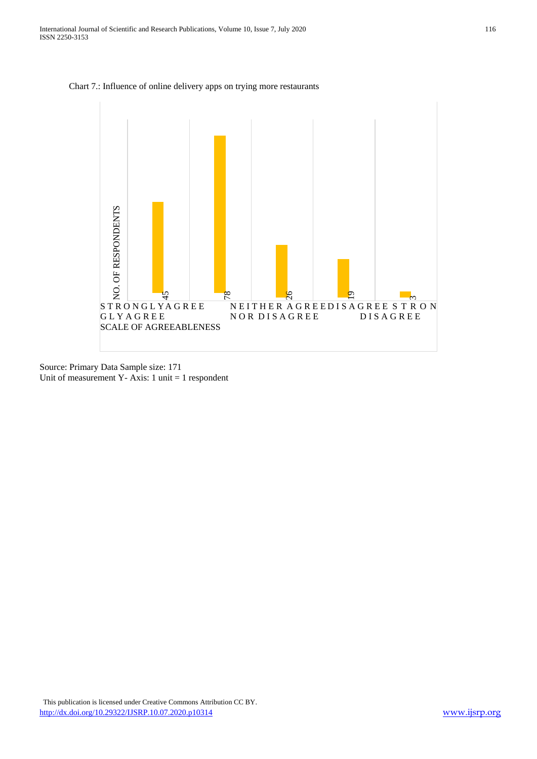



Source: Primary Data Sample size: 171 Unit of measurement Y- Axis: 1 unit = 1 respondent

 This publication is licensed under Creative Commons Attribution CC BY. <http://dx.doi.org/10.29322/IJSRP.10.07.2020.p10314> [www.ijsrp.org](http://ijsrp.org/)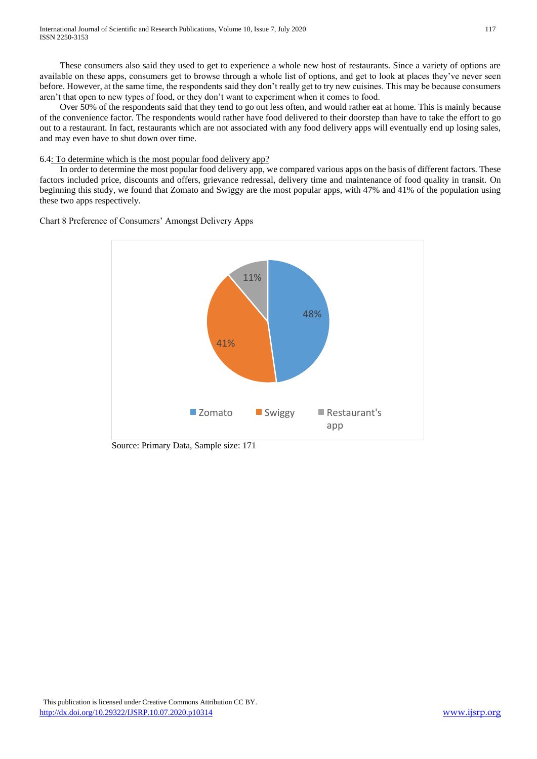These consumers also said they used to get to experience a whole new host of restaurants. Since a variety of options are available on these apps, consumers get to browse through a whole list of options, and get to look at places they've never seen before. However, at the same time, the respondents said they don't really get to try new cuisines. This may be because consumers aren't that open to new types of food, or they don't want to experiment when it comes to food.

 Over 50% of the respondents said that they tend to go out less often, and would rather eat at home. This is mainly because of the convenience factor. The respondents would rather have food delivered to their doorstep than have to take the effort to go out to a restaurant. In fact, restaurants which are not associated with any food delivery apps will eventually end up losing sales, and may even have to shut down over time.

## 6.4: To determine which is the most popular food delivery app?

 In order to determine the most popular food delivery app, we compared various apps on the basis of different factors. These factors included price, discounts and offers, grievance redressal, delivery time and maintenance of food quality in transit. On beginning this study, we found that Zomato and Swiggy are the most popular apps, with 47% and 41% of the population using these two apps respectively.

Chart 8 Preference of Consumers' Amongst Delivery Apps



Source: Primary Data, Sample size: 171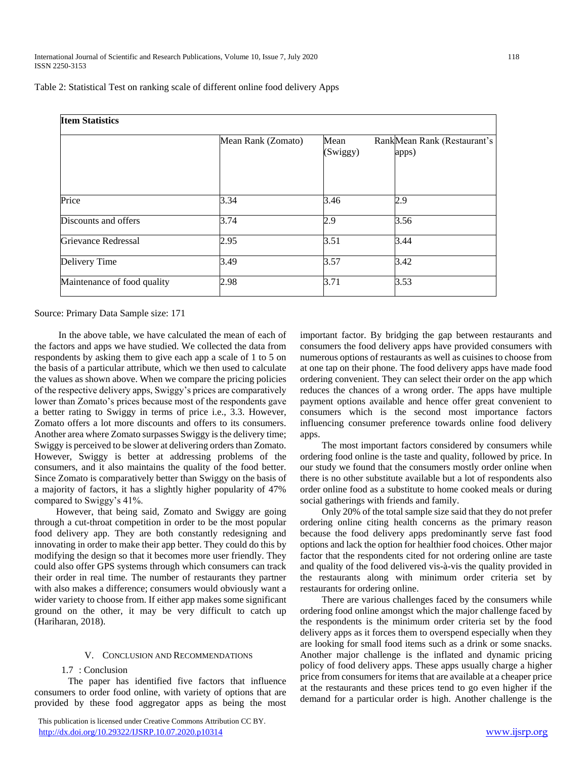| Table 2: Statistical Test on ranking scale of different online food delivery Apps |  |  |  |  |  |  |  |  |  |  |
|-----------------------------------------------------------------------------------|--|--|--|--|--|--|--|--|--|--|
|-----------------------------------------------------------------------------------|--|--|--|--|--|--|--|--|--|--|

| <b>Item Statistics</b>      |                    |                  |                                       |  |  |
|-----------------------------|--------------------|------------------|---------------------------------------|--|--|
|                             | Mean Rank (Zomato) | Mean<br>(Swiggy) | Rank Mean Rank (Restaurant's<br>apps) |  |  |
| Price                       | 3.34               | 3.46             | 2.9                                   |  |  |
| Discounts and offers        | 3.74               | 2.9              | 3.56                                  |  |  |
| <b>Grievance Redressal</b>  | 2.95               | 3.51             | 3.44                                  |  |  |
| Delivery Time               | 3.49               | 3.57             | 3.42                                  |  |  |
| Maintenance of food quality | 2.98               | 3.71             | 3.53                                  |  |  |

Source: Primary Data Sample size: 171

 In the above table, we have calculated the mean of each of the factors and apps we have studied. We collected the data from respondents by asking them to give each app a scale of 1 to 5 on the basis of a particular attribute, which we then used to calculate the values as shown above. When we compare the pricing policies of the respective delivery apps, Swiggy's prices are comparatively lower than Zomato's prices because most of the respondents gave a better rating to Swiggy in terms of price i.e., 3.3. However, Zomato offers a lot more discounts and offers to its consumers. Another area where Zomato surpasses Swiggy is the delivery time; Swiggy is perceived to be slower at delivering orders than Zomato. However, Swiggy is better at addressing problems of the consumers, and it also maintains the quality of the food better. Since Zomato is comparatively better than Swiggy on the basis of a majority of factors, it has a slightly higher popularity of 47% compared to Swiggy's 41%.

 However, that being said, Zomato and Swiggy are going through a cut-throat competition in order to be the most popular food delivery app. They are both constantly redesigning and innovating in order to make their app better. They could do this by modifying the design so that it becomes more user friendly. They could also offer GPS systems through which consumers can track their order in real time. The number of restaurants they partner with also makes a difference; consumers would obviously want a wider variety to choose from. If either app makes some significant ground on the other, it may be very difficult to catch up (Hariharan, 2018).

## V. CONCLUSION AND RECOMMENDATIONS

## 1.7 : Conclusion

 The paper has identified five factors that influence consumers to order food online, with variety of options that are provided by these food aggregator apps as being the most

important factor. By bridging the gap between restaurants and consumers the food delivery apps have provided consumers with numerous options of restaurants as well as cuisines to choose from at one tap on their phone. The food delivery apps have made food ordering convenient. They can select their order on the app which reduces the chances of a wrong order. The apps have multiple payment options available and hence offer great convenient to consumers which is the second most importance factors influencing consumer preference towards online food delivery apps.

 The most important factors considered by consumers while ordering food online is the taste and quality, followed by price. In our study we found that the consumers mostly order online when there is no other substitute available but a lot of respondents also order online food as a substitute to home cooked meals or during social gatherings with friends and family.

 Only 20% of the total sample size said that they do not prefer ordering online citing health concerns as the primary reason because the food delivery apps predominantly serve fast food options and lack the option for healthier food choices. Other major factor that the respondents cited for not ordering online are taste and quality of the food delivered vis-à-vis the quality provided in the restaurants along with minimum order criteria set by restaurants for ordering online.

 There are various challenges faced by the consumers while ordering food online amongst which the major challenge faced by the respondents is the minimum order criteria set by the food delivery apps as it forces them to overspend especially when they are looking for small food items such as a drink or some snacks. Another major challenge is the inflated and dynamic pricing policy of food delivery apps. These apps usually charge a higher price from consumers for items that are available at a cheaper price at the restaurants and these prices tend to go even higher if the demand for a particular order is high. Another challenge is the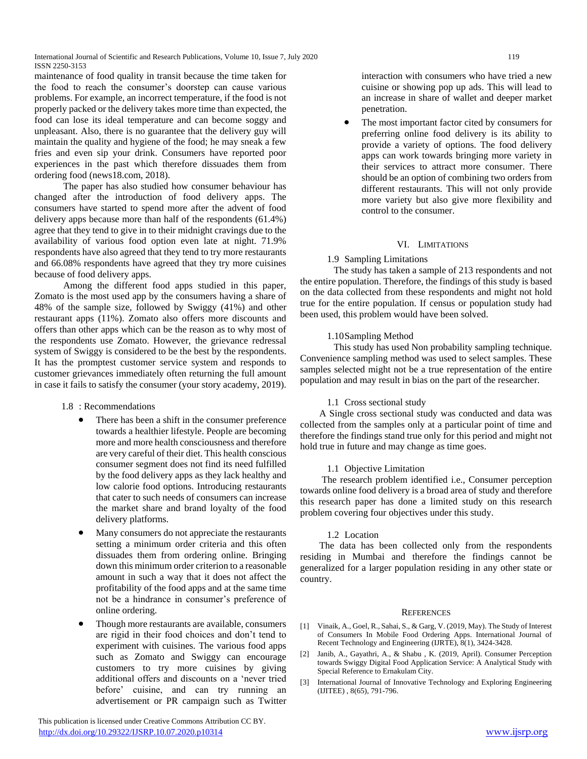International Journal of Scientific and Research Publications, Volume 10, Issue 7, July 2020 119 ISSN 2250-3153

maintenance of food quality in transit because the time taken for the food to reach the consumer's doorstep can cause various problems. For example, an incorrect temperature, if the food is not properly packed or the delivery takes more time than expected, the food can lose its ideal temperature and can become soggy and unpleasant. Also, there is no guarantee that the delivery guy will maintain the quality and hygiene of the food; he may sneak a few fries and even sip your drink. Consumers have reported poor experiences in the past which therefore dissuades them from ordering food (news18.com, 2018).

 The paper has also studied how consumer behaviour has changed after the introduction of food delivery apps. The consumers have started to spend more after the advent of food delivery apps because more than half of the respondents (61.4%) agree that they tend to give in to their midnight cravings due to the availability of various food option even late at night. 71.9% respondents have also agreed that they tend to try more restaurants and 66.08% respondents have agreed that they try more cuisines because of food delivery apps.

 Among the different food apps studied in this paper, Zomato is the most used app by the consumers having a share of 48% of the sample size, followed by Swiggy (41%) and other restaurant apps (11%). Zomato also offers more discounts and offers than other apps which can be the reason as to why most of the respondents use Zomato. However, the grievance redressal system of Swiggy is considered to be the best by the respondents. It has the promptest customer service system and responds to customer grievances immediately often returning the full amount in case it fails to satisfy the consumer (your story academy, 2019).

- 1.8 : Recommendations
	- There has been a shift in the consumer preference towards a healthier lifestyle. People are becoming more and more health consciousness and therefore are very careful of their diet. This health conscious consumer segment does not find its need fulfilled by the food delivery apps as they lack healthy and low calorie food options. Introducing restaurants that cater to such needs of consumers can increase the market share and brand loyalty of the food delivery platforms.
	- Many consumers do not appreciate the restaurants setting a minimum order criteria and this often dissuades them from ordering online. Bringing down this minimum order criterion to a reasonable amount in such a way that it does not affect the profitability of the food apps and at the same time not be a hindrance in consumer's preference of online ordering.
	- Though more restaurants are available, consumers are rigid in their food choices and don't tend to experiment with cuisines. The various food apps such as Zomato and Swiggy can encourage customers to try more cuisines by giving additional offers and discounts on a 'never tried before' cuisine, and can try running an advertisement or PR campaign such as Twitter

 This publication is licensed under Creative Commons Attribution CC BY. <http://dx.doi.org/10.29322/IJSRP.10.07.2020.p10314> [www.ijsrp.org](http://ijsrp.org/)

interaction with consumers who have tried a new cuisine or showing pop up ads. This will lead to an increase in share of wallet and deeper market penetration.

 The most important factor cited by consumers for preferring online food delivery is its ability to provide a variety of options. The food delivery apps can work towards bringing more variety in their services to attract more consumer. There should be an option of combining two orders from different restaurants. This will not only provide more variety but also give more flexibility and control to the consumer.

## VI. LIMITATIONS

## 1.9 Sampling Limitations

 The study has taken a sample of 213 respondents and not the entire population. Therefore, the findings of this study is based on the data collected from these respondents and might not hold true for the entire population. If census or population study had been used, this problem would have been solved.

## 1.10Sampling Method

 This study has used Non probability sampling technique. Convenience sampling method was used to select samples. These samples selected might not be a true representation of the entire population and may result in bias on the part of the researcher.

## 1.1 Cross sectional study

 A Single cross sectional study was conducted and data was collected from the samples only at a particular point of time and therefore the findings stand true only for this period and might not hold true in future and may change as time goes.

#### 1.1 Objective Limitation

 The research problem identified i.e., Consumer perception towards online food delivery is a broad area of study and therefore this research paper has done a limited study on this research problem covering four objectives under this study.

#### 1.2 Location

 The data has been collected only from the respondents residing in Mumbai and therefore the findings cannot be generalized for a larger population residing in any other state or country.

#### **REFERENCES**

- [1] Vinaik, A., Goel, R., Sahai, S., & Garg, V. (2019, May). The Study of Interest of Consumers In Mobile Food Ordering Apps. International Journal of Recent Technology and Engineering (IJRTE), 8(1), 3424-3428.
- [2] Janib, A., Gayathri, A., & Shabu , K. (2019, April). Consumer Perception towards Swiggy Digital Food Application Service: A Analytical Study with Special Reference to Ernakulam City.
- [3] International Journal of Innovative Technology and Exploring Engineering (IJITEE) , 8(65), 791-796.